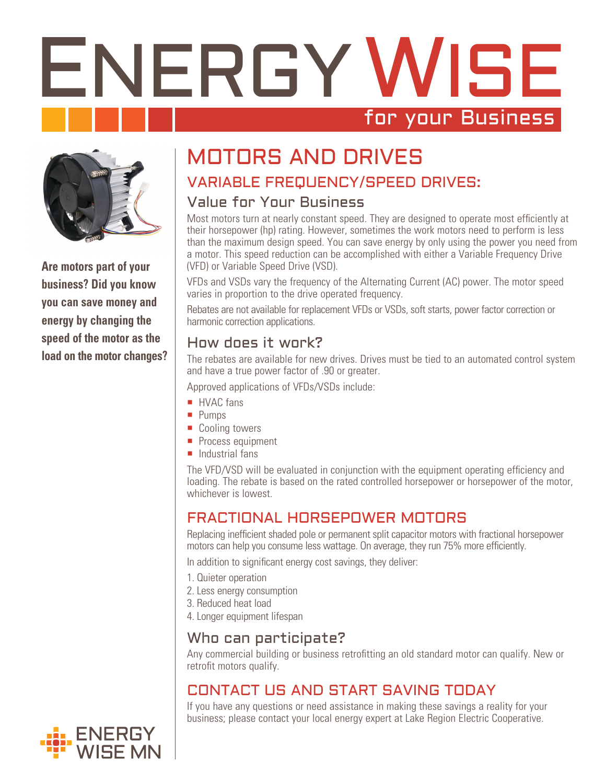# ENERGY WISE for your Business



**Are motors part of your business? Did you know you can save money and energy by changing the speed of the motor as the load on the motor changes?**

# MOTORS AND DRIVES

# VARIABLE FREQUENCY/SPEED DRIVES:

### Value for Your Business

Most motors turn at nearly constant speed. They are designed to operate most efficiently at their horsepower (hp) rating. However, sometimes the work motors need to perform is less than the maximum design speed. You can save energy by only using the power you need from a motor. This speed reduction can be accomplished with either a Variable Frequency Drive (VFD) or Variable Speed Drive (VSD).

VFDs and VSDs vary the frequency of the Alternating Current (AC) power. The motor speed varies in proportion to the drive operated frequency.

Rebates are not available for replacement VFDs or VSDs, soft starts, power factor correction or harmonic correction applications.

## How does it work?

The rebates are available for new drives. Drives must be tied to an automated control system and have a true power factor of .90 or greater.

Approved applications of VFDs/VSDs include:

- HVAC fans
- **Pumps**
- Cooling towers
- **Process equipment**
- $\blacksquare$  Industrial fans

The VFD/VSD will be evaluated in conjunction with the equipment operating efficiency and loading. The rebate is based on the rated controlled horsepower or horsepower of the motor, whichever is lowest.

# FRACTIONAL HORSEPOWER MOTORS

Replacing inefficient shaded pole or permanent split capacitor motors with fractional horsepower motors can help you consume less wattage. On average, they run 75% more efficiently.

In addition to significant energy cost savings, they deliver:

- 1. Quieter operation
- 2. Less energy consumption
- 3. Reduced heat load
- 4. Longer equipment lifespan

### Who can participate?

Any commercial building or business retrofitting an old standard motor can qualify. New or retrofit motors qualify.

# CONTACT US AND START SAVING TODAY

If you have any questions or need assistance in making these savings a reality for your business; please contact your local energy expert at Lake Region Electric Cooperative.

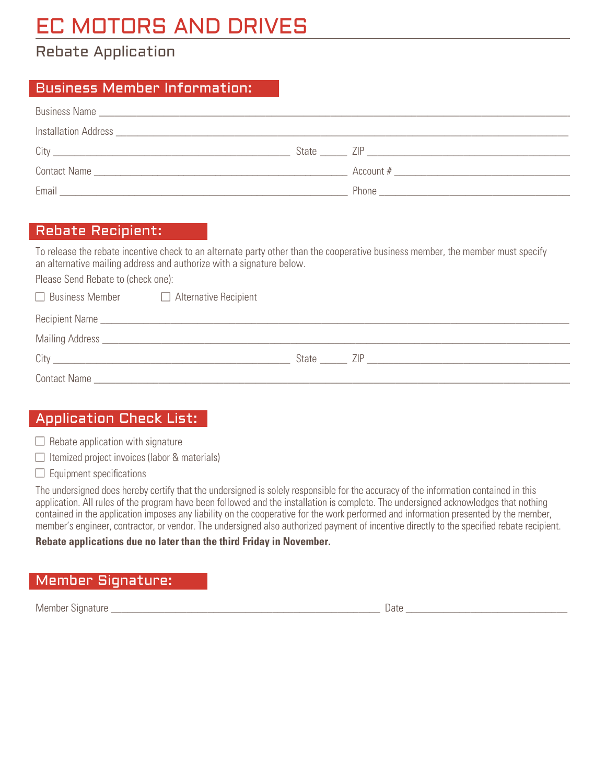# EC MOTORS AND DRIVES

# Rebate Application

#### Business Member Information:

|       | State ZIP                            |
|-------|--------------------------------------|
|       | Account $#$                          |
| Email | Phone <b>Phone Phone Phone Phone</b> |

#### Rebate Recipient:

To release the rebate incentive check to an alternate party other than the cooperative business member, the member must specify an alternative mailing address and authorize with a signature below.

Please Send Rebate to (check one):

| $\Box$ Business Member | $\Box$ Alternative Recipient |              |  |
|------------------------|------------------------------|--------------|--|
|                        | Recipient Name               |              |  |
|                        |                              |              |  |
| City                   |                              | State<br>7IP |  |
| <b>Contact Name</b>    |                              |              |  |

#### Application Check List:

 $\Box$  Rebate application with signature

 $\Box$  Itemized project invoices (labor & materials)

 $\Box$  Equipment specifications

The undersigned does hereby certify that the undersigned is solely responsible for the accuracy of the information contained in this application. All rules of the program have been followed and the installation is complete. The undersigned acknowledges that nothing contained in the application imposes any liability on the cooperative for the work performed and information presented by the member, member's engineer, contractor, or vendor. The undersigned also authorized payment of incentive directly to the specified rebate recipient.

#### **Rebate applications due no later than the third Friday in November.**

#### Member Signature:

Member Signature \_\_\_\_\_\_\_\_\_\_\_\_\_\_\_\_\_\_\_\_\_\_\_\_\_\_\_\_\_\_\_\_\_\_\_\_\_\_\_\_\_\_\_\_\_\_\_\_\_\_ Date \_\_\_\_\_\_\_\_\_\_\_\_\_\_\_\_\_\_\_\_\_\_\_\_\_\_\_\_\_\_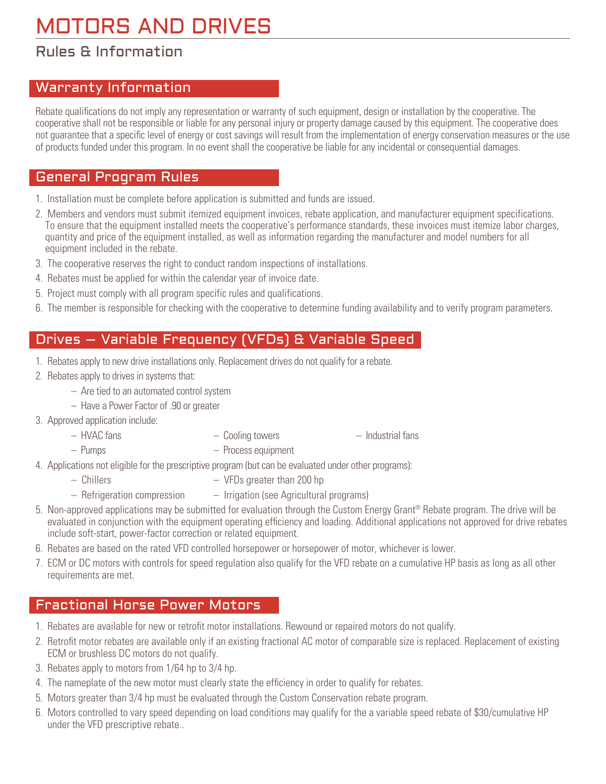# MOTORS AND DRIVES

### Rules & Information

#### Warranty Information

Rebate qualifications do not imply any representation or warranty of such equipment, design or installation by the cooperative. The cooperative shall not be responsible or liable for any personal injury or property damage caused by this equipment. The cooperative does not guarantee that a specific level of energy or cost savings will result from the implementation of energy conservation measures or the use of products funded under this program. In no event shall the cooperative be liable for any incidental or consequential damages.

#### General Program Rules

- 1. Installation must be complete before application is submitted and funds are issued.
- 2. Members and vendors must submit itemized equipment invoices, rebate application, and manufacturer equipment specifications. To ensure that the equipment installed meets the cooperative's performance standards, these invoices must itemize labor charges, quantity and price of the equipment installed, as well as information regarding the manufacturer and model numbers for all equipment included in the rebate.
- 3. The cooperative reserves the right to conduct random inspections of installations.
- 4. Rebates must be applied for within the calendar year of invoice date.
- 5. Project must comply with all program specific rules and qualifications.
- 6. The member is responsible for checking with the cooperative to determine funding availability and to verify program parameters.

#### Drives – Variable Frequency (VFDs) & Variable Speed

- 1. Rebates apply to new drive installations only. Replacement drives do not qualify for a rebate.
- 2. Rebates apply to drives in systems that:
	- Are tied to an automated control system
	- Have a Power Factor of .90 or greater
- 3. Approved application include:
	-
	- HVAC fans Cooling towers Industrial fans
		-
	- Pumps Process equipment
- 4. Applications not eligible for the prescriptive program (but can be evaluated under other programs):
	- Chillers VFDs greater than 200 hp
	- Refrigeration compression Irrigation (see Agricultural programs)
- 5. Non-approved applications may be submitted for evaluation through the Custom Energy Grant<sup>®</sup> Rebate program. The drive will be evaluated in conjunction with the equipment operating efficiency and loading. Additional applications not approved for drive rebates include soft-start, power-factor correction or related equipment.
- 6. Rebates are based on the rated VFD controlled horsepower or horsepower of motor, whichever is lower.
- 7. ECM or DC motors with controls for speed regulation also qualify for the VFD rebate on a cumulative HP basis as long as all other requirements are met.

#### Fractional Horse Power Motors

- 1. Rebates are available for new or retrofit motor installations. Rewound or repaired motors do not qualify.
- 2. Retrofit motor rebates are available only if an existing fractional AC motor of comparable size is replaced. Replacement of existing ECM or brushless DC motors do not qualify.
- 3. Rebates apply to motors from 1/64 hp to 3/4 hp.
- 4. The nameplate of the new motor must clearly state the efficiency in order to qualify for rebates.
- 5. Motors greater than 3/4 hp must be evaluated through the Custom Conservation rebate program.
- 6. Motors controlled to vary speed depending on load conditions may qualify for the a variable speed rebate of \$30/cumulative HP under the VFD prescriptive rebate..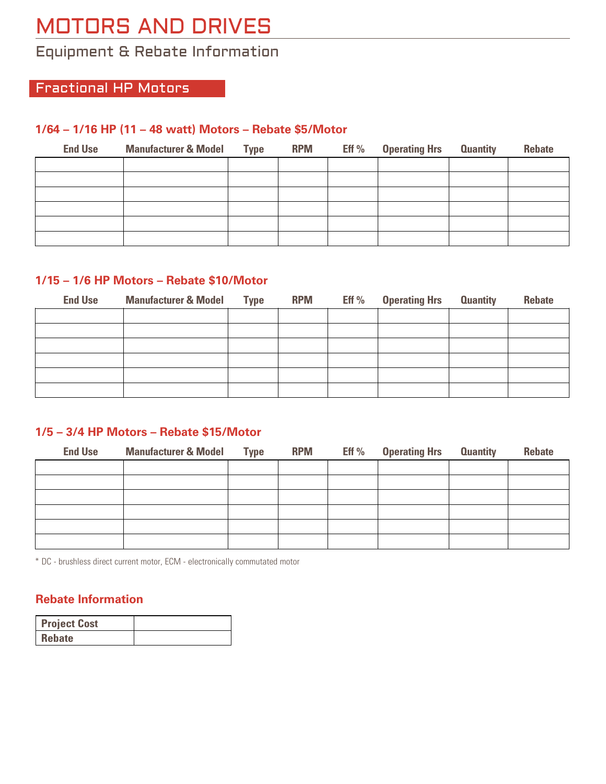# MOTORS AND DRIVES

# Equipment & Rebate Information

### Fractional HP Motors

#### **1/64 – 1/16 HP (11 – 48 watt) Motors – Rebate \$5/Motor**

| <b>End Use</b> | <b>Manufacturer &amp; Model Type</b> | <b>RPM</b> | Eff $%$ | <b>Operating Hrs Quantity</b> | <b>Rebate</b> |
|----------------|--------------------------------------|------------|---------|-------------------------------|---------------|
|                |                                      |            |         |                               |               |
|                |                                      |            |         |                               |               |
|                |                                      |            |         |                               |               |
|                |                                      |            |         |                               |               |
|                |                                      |            |         |                               |               |
|                |                                      |            |         |                               |               |

#### **1/15 – 1/6 HP Motors – Rebate \$10/Motor**

| <b>End Use</b> | <b>Manufacturer &amp; Model</b> | <b>Type</b> | <b>RPM</b> | Eff % | <b>Operating Hrs Quantity</b> | <b>Rebate</b> |
|----------------|---------------------------------|-------------|------------|-------|-------------------------------|---------------|
|                |                                 |             |            |       |                               |               |
|                |                                 |             |            |       |                               |               |
|                |                                 |             |            |       |                               |               |
|                |                                 |             |            |       |                               |               |
|                |                                 |             |            |       |                               |               |
|                |                                 |             |            |       |                               |               |

#### **1/5 – 3/4 HP Motors – Rebate \$15/Motor**

| <b>End Use</b> | <b>Manufacturer &amp; Model Type</b> | <b>RPM</b> | Eff $%$ | <b>Operating Hrs Quantity</b> | <b>Rebate</b> |
|----------------|--------------------------------------|------------|---------|-------------------------------|---------------|
|                |                                      |            |         |                               |               |
|                |                                      |            |         |                               |               |
|                |                                      |            |         |                               |               |
|                |                                      |            |         |                               |               |
|                |                                      |            |         |                               |               |
|                |                                      |            |         |                               |               |

\* DC - brushless direct current motor, ECM - electronically commutated motor

#### **Rebate Information**

| <b>Project Cost</b> |  |
|---------------------|--|
| <b>Rebate</b>       |  |